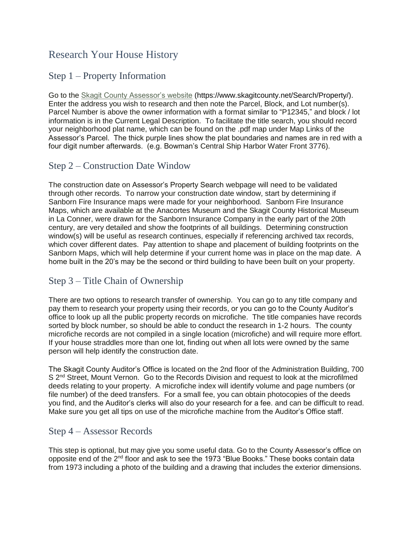# Research Your House History

### Step 1 – Property Information

Go to the [Skagit County Assessor's website](https://www.skagitcounty.net/Search/Property/) (https://www.skagitcounty.net/Search/Property/). Enter the address you wish to research and then note the Parcel, Block, and Lot number(s). Parcel Number is above the owner information with a format similar to "P12345," and block / lot information is in the Current Legal Description. To facilitate the title search, you should record your neighborhood plat name, which can be found on the .pdf map under Map Links of the Assessor's Parcel. The thick purple lines show the plat boundaries and names are in red with a four digit number afterwards. (e.g. Bowman's Central Ship Harbor Water Front 3776).

## Step 2 – Construction Date Window

The construction date on Assessor's Property Search webpage will need to be validated through other records. To narrow your construction date window, start by determining if Sanborn Fire Insurance maps were made for your neighborhood. Sanborn Fire Insurance Maps, which are available at the Anacortes Museum and the Skagit County Historical Museum in La Conner, were drawn for the Sanborn Insurance Company in the early part of the 20th century, are very detailed and show the footprints of all buildings. Determining construction window(s) will be useful as research continues, especially if referencing archived tax records, which cover different dates. Pay attention to shape and placement of building footprints on the Sanborn Maps, which will help determine if your current home was in place on the map date. A home built in the 20's may be the second or third building to have been built on your property.

## Step 3 – Title Chain of Ownership

There are two options to research transfer of ownership. You can go to any title company and pay them to research your property using their records, or you can go to the County Auditor's office to look up all the public property records on microfiche. The title companies have records sorted by block number, so should be able to conduct the research in 1-2 hours. The county microfiche records are not compiled in a single location (microfiche) and will require more effort. If your house straddles more than one lot, finding out when all lots were owned by the same person will help identify the construction date.

The Skagit County Auditor's Office is located on the 2nd floor of the Administration Building, 700 S 2<sup>nd</sup> Street, Mount Vernon. Go to the Records Division and request to look at the microfilmed deeds relating to your property. A microfiche index will identify volume and page numbers (or file number) of the deed transfers. For a small fee, you can obtain photocopies of the deeds you find, and the Auditor's clerks will also do your research for a fee. and can be difficult to read. Make sure you get all tips on use of the microfiche machine from the Auditor's Office staff.

#### Step 4 – Assessor Records

This step is optional, but may give you some useful data. Go to the County Assessor's office on opposite end of the 2nd floor and ask to see the 1973 "Blue Books." These books contain data from 1973 including a photo of the building and a drawing that includes the exterior dimensions.